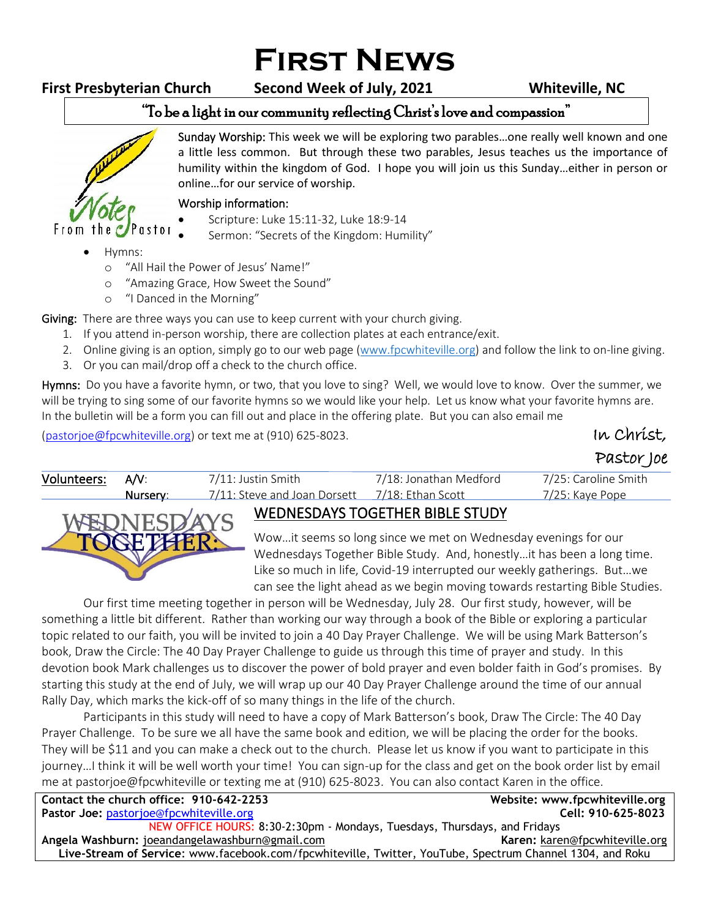# **First News**

**First Presbyterian Church Second Week of July, 2021 Whiteville, NC**

## "To be a light in our community reflecting Christ's love and compassion"



Sunday Worship: This week we will be exploring two parables…one really well known and one a little less common. But through these two parables, Jesus teaches us the importance of humility within the kingdom of God. I hope you will join us this Sunday…either in person or online…for our service of worship. ֺ֝

#### Worship information:

- Scripture: Luke 15:11-32, Luke 18:9-14
- Sermon: "Secrets of the Kingdom: Humility"
- Hymns:
	- o "All Hail the Power of Jesus' Name!"
	- o "Amazing Grace, How Sweet the Sound"
	- o "I Danced in the Morning"

Giving: There are three ways you can use to keep current with your church giving.

- 1. If you attend in-person worship, there are collection plates at each entrance/exit.
- 2. Online giving is an option, simply go to our web page [\(www.fpcwhiteville.org](http://www.fpcwhiteville.ort/)) and follow the link to on-line giving.
- 3. Or you can mail/drop off a check to the church office.

Hymns: Do you have a favorite hymn, or two, that you love to sing? Well, we would love to know. Over the summer, we will be trying to sing some of our favorite hymns so we would like your help. Let us know what your favorite hymns are. In the bulletin will be a form you can fill out and place in the offering plate. But you can also email me

[\(pastorjoe@fpcwhiteville.org\)](file:///C:/Users/Valued%20Customer/Desktop/pastorjoe@fpcwhiteville.org) or text me at (910) 625-8023. In Christ,  $\mathcal{U}$  Christ,

Pastor Joe

| Volunteers: A/V:                               |          | 7/11: Justin Smith                             | 7/18: Jonathan Medford | 7/25: Caroline Smith |  |
|------------------------------------------------|----------|------------------------------------------------|------------------------|----------------------|--|
|                                                | Nurserv: | 7/11: Steve and Joan Dorsett 7/18: Ethan Scott |                        | 7/25: Kaye Pope      |  |
| WEDNESDAYS TOGETHER BIBLE STUDY<br>LINDRIDOD M |          |                                                |                        |                      |  |

### WEDNESDAYS TOGETHER BIBLE STUDY

Wow…it seems so long since we met on Wednesday evenings for our Wednesdays Together Bible Study. And, honestly…it has been a long time. Like so much in life, Covid-19 interrupted our weekly gatherings. But…we can see the light ahead as we begin moving towards restarting Bible Studies.

Our first time meeting together in person will be Wednesday, July 28. Our first study, however, will be something a little bit different. Rather than working our way through a book of the Bible or exploring a particular topic related to our faith, you will be invited to join a 40 Day Prayer Challenge. We will be using Mark Batterson's book, Draw the Circle: The 40 Day Prayer Challenge to guide us through this time of prayer and study. In this devotion book Mark challenges us to discover the power of bold prayer and even bolder faith in God's promises. By starting this study at the end of July, we will wrap up our 40 Day Prayer Challenge around the time of our annual Rally Day, which marks the kick-off of so many things in the life of the church.

Participants in this study will need to have a copy of Mark Batterson's book, Draw The Circle: The 40 Day Prayer Challenge. To be sure we all have the same book and edition, we will be placing the order for the books. They will be \$11 and you can make a check out to the church. Please let us know if you want to participate in this journey…I think it will be well worth your time! You can sign-up for the class and get on the book order list by email me at pastorjoe@fpcwhiteville or texting me at (910) 625-8023. You can also contact Karen in the office.

| Contact the church office: 910-642-2253                                                                   | Website: www.fpcwhiteville.org |  |  |  |
|-----------------------------------------------------------------------------------------------------------|--------------------------------|--|--|--|
| <b>Pastor Joe: pastorjoe@fpcwhiteville.org</b>                                                            | Cell: 910-625-8023             |  |  |  |
| NEW OFFICE HOURS: 8:30-2:30pm - Mondays, Tuesdays, Thursdays, and Fridays                                 |                                |  |  |  |
| Angela Washburn: joeandangelawashburn@gmail.com                                                           | Karen: karen@fpcwhiteville.org |  |  |  |
| Live-Stream of Service: www.facebook.com/fpcwhiteville, Twitter, YouTube, Spectrum Channel 1304, and Roku |                                |  |  |  |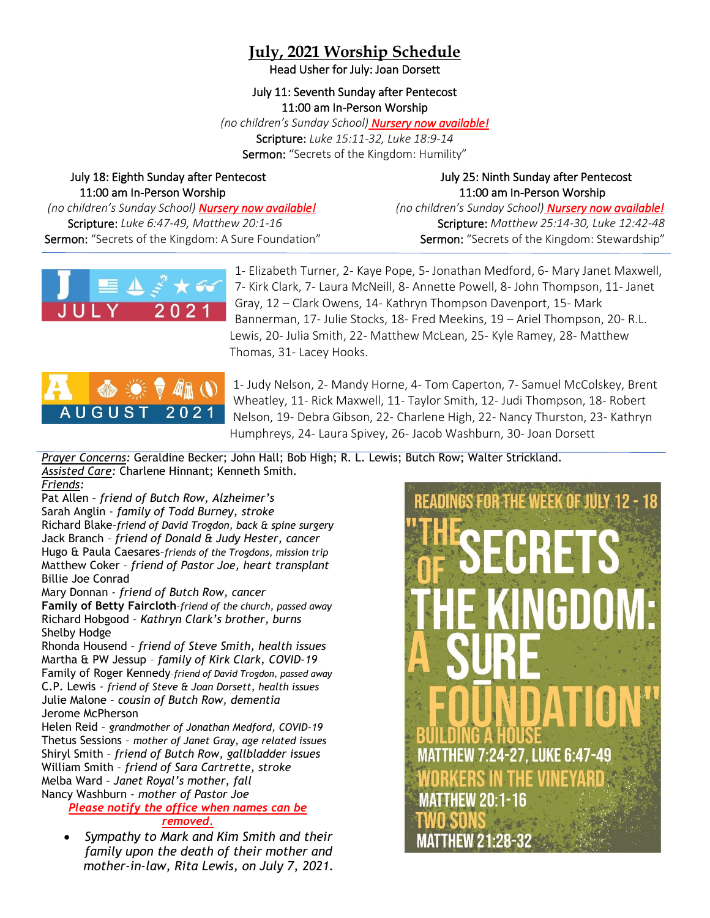## **July, 2021 Worship Schedule**

Head Usher for July: Joan Dorsett

July 11: Seventh Sunday after Pentecost 11:00 am In-Person Worship

*(no children's Sunday School) Nursery now available!*

Scripture: *Luke 15:11-32, Luke 18:9-14* Sermon: "Secrets of the Kingdom: Humility"

# 11:00 am In-Person Worship 11:00 am In-Person Worship

July 18: Eighth Sunday after Pentecost July 25: Ninth Sunday after Pentecost

 *(no children's Sunday School) Nursery now available! (no children's Sunday School) Nursery now available!* Scripture: *Luke 6:47-49, Matthew 20:1-16* Scripture: *Matthew 25:14-30, Luke 12:42-48* Sermon: "Secrets of the Kingdom: A Sure Foundation" Sermon: "Secrets of the Kingdom: Stewardship"





1- Elizabeth Turner, 2- Kaye Pope, 5- Jonathan Medford, 6- Mary Janet Maxwell, 7- Kirk Clark, 7- Laura McNeill, 8- Annette Powell, 8- John Thompson, 11- Janet Gray, 12 – Clark Owens, 14- Kathryn Thompson Davenport, 15- Mark Bannerman, 17- Julie Stocks, 18- Fred Meekins, 19 – Ariel Thompson, 20- R.L. Lewis, 20- Julia Smith, 22- Matthew McLean, 25- Kyle Ramey, 28- Matthew Thomas, 31- Lacey Hooks.



1- Judy Nelson, 2- Mandy Horne, 4- Tom Caperton, 7- Samuel McColskey, Brent Wheatley, 11- Rick Maxwell, 11- Taylor Smith, 12- Judi Thompson, 18- Robert Nelson, 19- Debra Gibson, 22- Charlene High, 22- Nancy Thurston, 23- Kathryn Humphreys, 24- Laura Spivey, 26- Jacob Washburn, 30- Joan Dorsett

*Prayer Concerns:* Geraldine Becker; John Hall; Bob High; R. L. Lewis; Butch Row; Walter Strickland. *Assisted Care:* Charlene Hinnant; Kenneth Smith. *Friends:*

Pat Allen – *friend of Butch Row, Alzheimer's*  Sarah Anglin - *family of Todd Burney, stroke* Richard Blake–*friend of David Trogdon, back & spine surgery* Jack Branch – *friend of Donald & Judy Hester, cancer* Hugo & Paula Caesares–*friends of the Trogdons, mission trip* Matthew Coker – *friend of Pastor Joe, heart transplant* Billie Joe Conrad

Mary Donnan - *friend of Butch Row, cancer*

**Family of Betty Faircloth***–friend of the church, passed away* Richard Hobgood – *Kathryn Clark's brother, burns* Shelby Hodge

Rhonda Housend – *friend of Steve Smith, health issues* Martha & PW Jessup – *family of Kirk Clark, COVID-19* Family of Roger Kennedy–*friend of David Trogdon, passed away* C.P. Lewis - *friend of Steve & Joan Dorsett, health issues* Julie Malone – *cousin of Butch Row, dementia* Jerome McPherson

Helen Reid – *grandmother of Jonathan Medford, COVID-19* Thetus Sessions – *mother of Janet Gray, age related issues* Shiryl Smith – *friend of Butch Row, gallbladder issues* William Smith – *friend of Sara Cartrette, stroke* Melba Ward *– Janet Royal's mother, fall* Nancy Washburn - *mother of Pastor Joe*

*Please notify the office when names can be removed.*

• *Sympathy to Mark and Kim Smith and their family upon the death of their mother and mother-in-law, Rita Lewis, on July 7, 2021.*